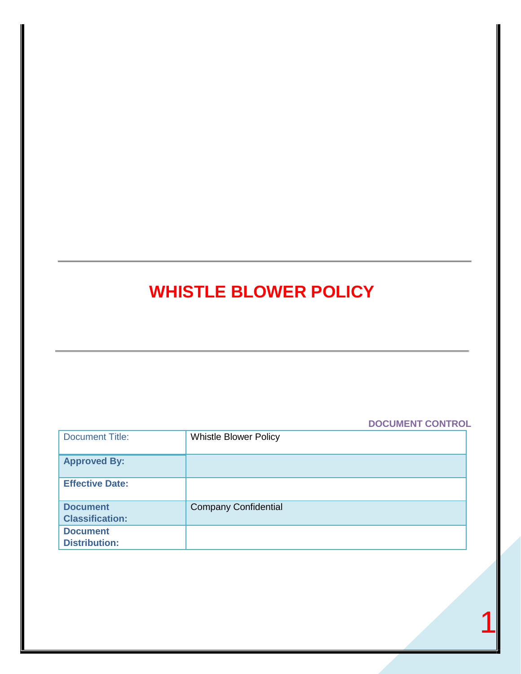# **WHISTLE BLOWER POLICY**

# **DOCUMENT CONTROL**

| <b>Document Title:</b>                    | <b>Whistle Blower Policy</b> |
|-------------------------------------------|------------------------------|
| <b>Approved By:</b>                       |                              |
| <b>Effective Date:</b>                    |                              |
| <b>Document</b><br><b>Classification:</b> | <b>Company Confidential</b>  |
| <b>Document</b><br><b>Distribution:</b>   |                              |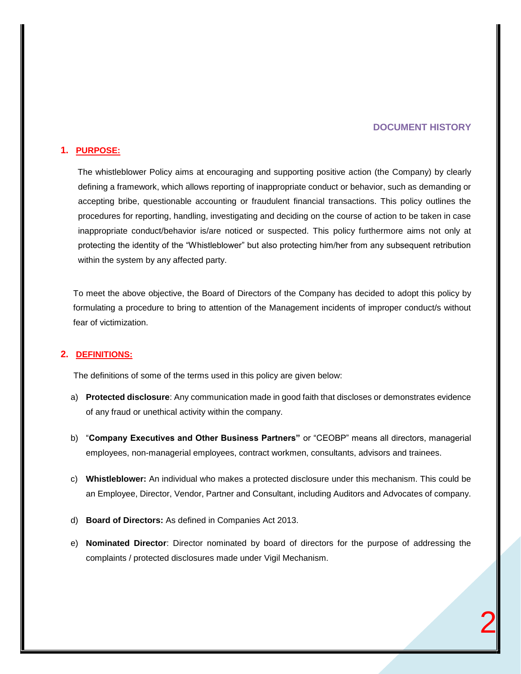## **DOCUMENT HISTORY**

#### **1. PURPOSE:**

The whistleblower Policy aims at encouraging and supporting positive action (the Company) by clearly defining a framework, which allows reporting of inappropriate conduct or behavior, such as demanding or accepting bribe, questionable accounting or fraudulent financial transactions. This policy outlines the procedures for reporting, handling, investigating and deciding on the course of action to be taken in case inappropriate conduct/behavior is/are noticed or suspected. This policy furthermore aims not only at protecting the identity of the "Whistleblower" but also protecting him/her from any subsequent retribution within the system by any affected party.

To meet the above objective, the Board of Directors of the Company has decided to adopt this policy by formulating a procedure to bring to attention of the Management incidents of improper conduct/s without fear of victimization.

#### **2. DEFINITIONS:**

The definitions of some of the terms used in this policy are given below:

- a) **Protected disclosure**: Any communication made in good faith that discloses or demonstrates evidence of any fraud or unethical activity within the company.
- b) "**Company Executives and Other Business Partners"** or "CEOBP" means all directors, managerial employees, non-managerial employees, contract workmen, consultants, advisors and trainees.
- c) **Whistleblower:** An individual who makes a protected disclosure under this mechanism. This could be an Employee, Director, Vendor, Partner and Consultant, including Auditors and Advocates of company.
- d) **Board of Directors:** As defined in Companies Act 2013.
- e) **Nominated Director**: Director nominated by board of directors for the purpose of addressing the complaints / protected disclosures made under Vigil Mechanism.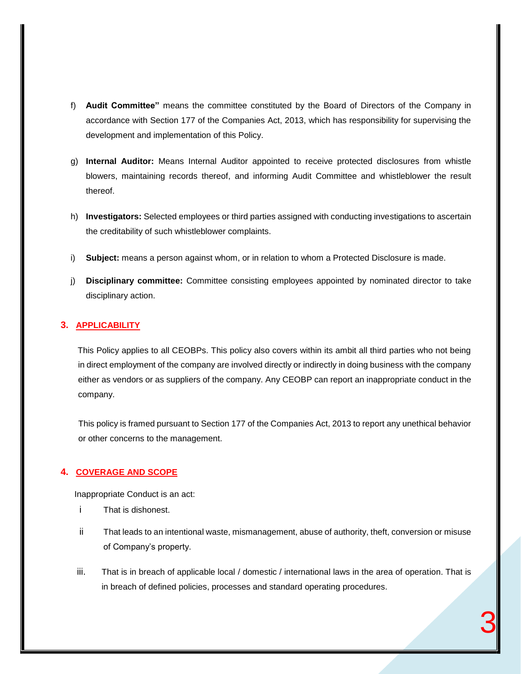- f) **Audit Committee"** means the committee constituted by the Board of Directors of the Company in accordance with Section 177 of the Companies Act, 2013, which has responsibility for supervising the development and implementation of this Policy.
- g) **Internal Auditor:** Means Internal Auditor appointed to receive protected disclosures from whistle blowers, maintaining records thereof, and informing Audit Committee and whistleblower the result thereof.
- h) **Investigators:** Selected employees or third parties assigned with conducting investigations to ascertain the creditability of such whistleblower complaints.
- i) **Subject:** means a person against whom, or in relation to whom a Protected Disclosure is made.
- j) **Disciplinary committee:** Committee consisting employees appointed by nominated director to take disciplinary action.

## **3. APPLICABILITY**

This Policy applies to all CEOBPs. This policy also covers within its ambit all third parties who not being in direct employment of the company are involved directly or indirectly in doing business with the company either as vendors or as suppliers of the company. Any CEOBP can report an inappropriate conduct in the company.

This policy is framed pursuant to Section 177 of the Companies Act, 2013 to report any unethical behavior or other concerns to the management.

# **4. COVERAGE AND SCOPE**

Inappropriate Conduct is an act:

- i That is dishonest.
- ii That leads to an intentional waste, mismanagement, abuse of authority, theft, conversion or misuse of Company's property.
- iii. That is in breach of applicable local / domestic / international laws in the area of operation. That is in breach of defined policies, processes and standard operating procedures.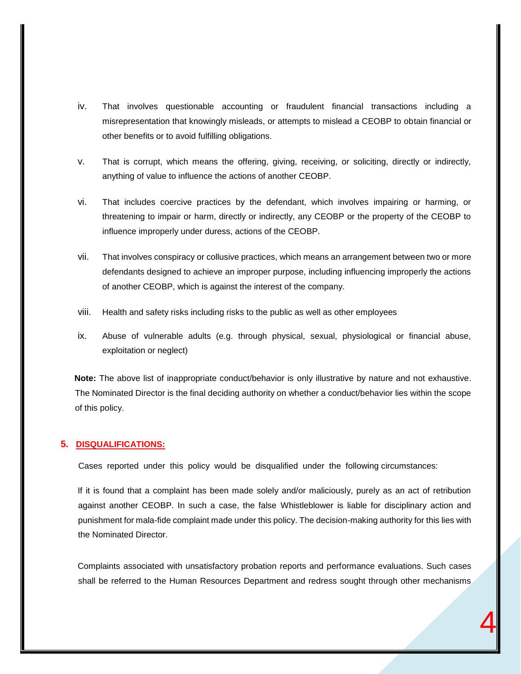- iv. That involves questionable accounting or fraudulent financial transactions including a misrepresentation that knowingly misleads, or attempts to mislead a CEOBP to obtain financial or other benefits or to avoid fulfilling obligations.
- v. That is corrupt, which means the offering, giving, receiving, or soliciting, directly or indirectly, anything of value to influence the actions of another CEOBP.
- vi. That includes coercive practices by the defendant, which involves impairing or harming, or threatening to impair or harm, directly or indirectly, any CEOBP or the property of the CEOBP to influence improperly under duress, actions of the CEOBP.
- vii. That involves conspiracy or collusive practices, which means an arrangement between two or more defendants designed to achieve an improper purpose, including influencing improperly the actions of another CEOBP, which is against the interest of the company.
- viii. Health and safety risks including risks to the public as well as other employees
- ix. Abuse of vulnerable adults (e.g. through physical, sexual, physiological or financial abuse, exploitation or neglect)

**Note:** The above list of inappropriate conduct/behavior is only illustrative by nature and not exhaustive. The Nominated Director is the final deciding authority on whether a conduct/behavior lies within the scope of this policy.

#### **5. DISQUALIFICATIONS:**

Cases reported under this policy would be disqualified under the following circumstances:

If it is found that a complaint has been made solely and/or maliciously, purely as an act of retribution against another CEOBP. In such a case, the false Whistleblower is liable for disciplinary action and punishment for mala-fide complaint made under this policy. The decision-making authority for this lies with the Nominated Director.

Complaints associated with unsatisfactory probation reports and performance evaluations. Such cases shall be referred to the Human Resources Department and redress sought through other mechanisms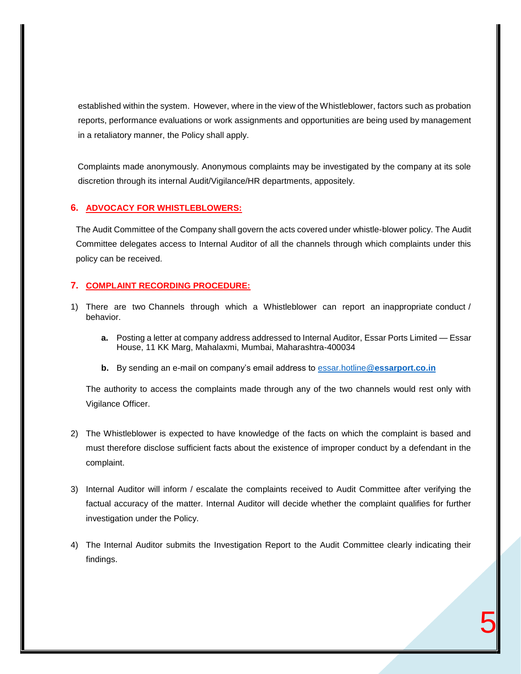established within the system. However, where in the view of the Whistleblower, factors such as probation reports, performance evaluations or work assignments and opportunities are being used by management in a retaliatory manner, the Policy shall apply.

Complaints made anonymously. Anonymous complaints may be investigated by the company at its sole discretion through its internal Audit/Vigilance/HR departments, appositely.

## **6. ADVOCACY FOR WHISTLEBLOWERS:**

The Audit Committee of the Company shall govern the acts covered under whistle-blower policy. The Audit Committee delegates access to Internal Auditor of all the channels through which complaints under this policy can be received.

### **7. COMPLAINT RECORDING PROCEDURE:**

- 1) There are two Channels through which a Whistleblower can report an inappropriate conduct / behavior.
	- **a.** Posting a letter at company address addressed to Internal Auditor, Essar Ports Limited Essar House, 11 KK Marg, Mahalaxmi, Mumbai, Maharashtra-400034
	- **b.** By sending an e-mail on company's email address to essar.hotline@**[essarport.co.in](mailto:essar.hotline@essarport.co.in)**

The authority to access the complaints made through any of the two channels would rest only with Vigilance Officer.

- 2) The Whistleblower is expected to have knowledge of the facts on which the complaint is based and must therefore disclose sufficient facts about the existence of improper conduct by a defendant in the complaint.
- 3) Internal Auditor will inform / escalate the complaints received to Audit Committee after verifying the factual accuracy of the matter. Internal Auditor will decide whether the complaint qualifies for further investigation under the Policy.
- 4) The Internal Auditor submits the Investigation Report to the Audit Committee clearly indicating their findings.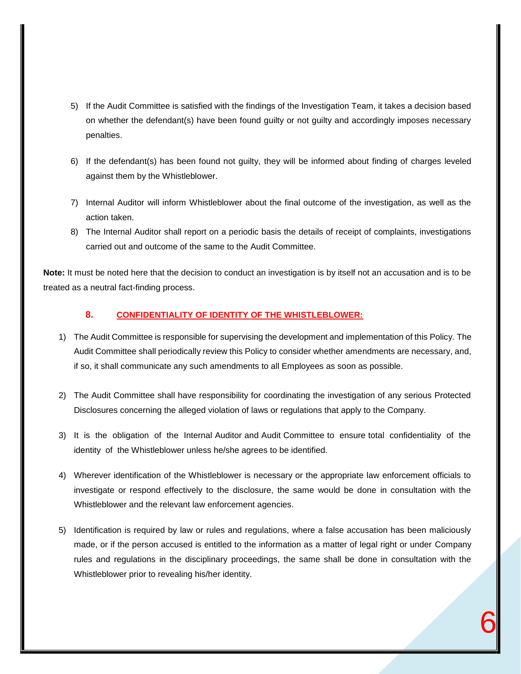- 5) If the Audit Committee is satisfied with the findings of the Investigation Team, it takes a decision based on whether the defendant(s) have been found guilty or not guilty and accordingly imposes necessary penalties.
- 6) If the defendant(s) has been found not guilty, they will be informed about finding of charges leveled against them by the Whistleblower.
- 7) Internal Auditor will inform Whistleblower about the final outcome of the investigation, as well as the action taken.
- 8) The Internal Auditor shall report on a periodic basis the details of receipt of complaints, investigations carried out and outcome of the same to the Audit Committee.

**Note:** It must be noted here that the decision to conduct an investigation is by itself not an accusation and is to be treated as a neutral fact-finding process.

# **8. CONFIDENTIALITY OF IDENTITY OF THE WHISTLEBLOWER:**

- 1) The Audit Committee is responsible for supervising the development and implementation of this Policy. The Audit Committee shall periodically review this Policy to consider whether amendments are necessary, and, if so, it shall communicate any such amendments to all Employees as soon as possible.
- 2) The Audit Committee shall have responsibility for coordinating the investigation of any serious Protected Disclosures concerning the alleged violation of laws or regulations that apply to the Company.
- 3) It is the obligation of the Internal Auditor and Audit Committee to ensure total confidentiality of the identity of the Whistleblower unless he/she agrees to be identified.
- 4) Wherever identification of the Whistleblower is necessary or the appropriate law enforcement officials to investigate or respond effectively to the disclosure, the same would be done in consultation with the Whistleblower and the relevant law enforcement agencies.
- 5) Identification is required by law or rules and regulations, where a false accusation has been maliciously made, or if the person accused is entitled to the information as a matter of legal right or under Company rules and regulations in the disciplinary proceedings, the same shall be done in consultation with the Whistleblower prior to revealing his/her identity.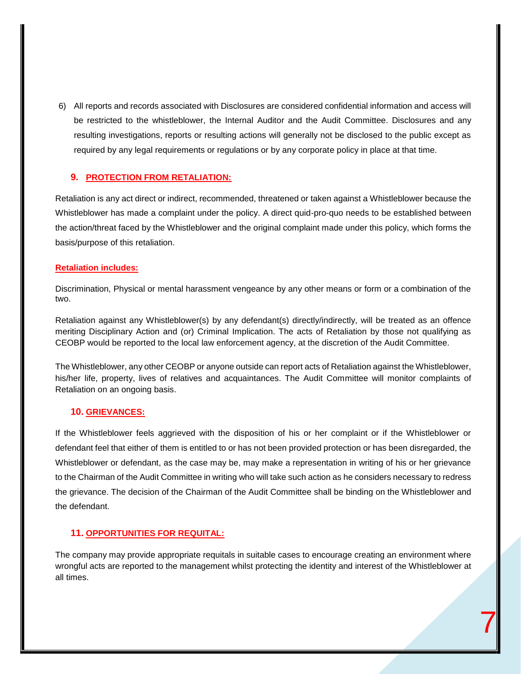6) All reports and records associated with Disclosures are considered confidential information and access will be restricted to the whistleblower, the Internal Auditor and the Audit Committee. Disclosures and any resulting investigations, reports or resulting actions will generally not be disclosed to the public except as required by any legal requirements or regulations or by any corporate policy in place at that time.

#### **9. PROTECTION FROM RETALIATION:**

Retaliation is any act direct or indirect, recommended, threatened or taken against a Whistleblower because the Whistleblower has made a complaint under the policy. A direct quid-pro-quo needs to be established between the action/threat faced by the Whistleblower and the original complaint made under this policy, which forms the basis/purpose of this retaliation.

#### **Retaliation includes:**

Discrimination, Physical or mental harassment vengeance by any other means or form or a combination of the two.

Retaliation against any Whistleblower(s) by any defendant(s) directly/indirectly, will be treated as an offence meriting Disciplinary Action and (or) Criminal Implication. The acts of Retaliation by those not qualifying as CEOBP would be reported to the local law enforcement agency, at the discretion of the Audit Committee.

The Whistleblower, any other CEOBP or anyone outside can report acts of Retaliation against the Whistleblower, his/her life, property, lives of relatives and acquaintances. The Audit Committee will monitor complaints of Retaliation on an ongoing basis.

### **10. GRIEVANCES:**

If the Whistleblower feels aggrieved with the disposition of his or her complaint or if the Whistleblower or defendant feel that either of them is entitled to or has not been provided protection or has been disregarded, the Whistleblower or defendant, as the case may be, may make a representation in writing of his or her grievance to the Chairman of the Audit Committee in writing who will take such action as he considers necessary to redress the grievance. The decision of the Chairman of the Audit Committee shall be binding on the Whistleblower and the defendant.

## **11. OPPORTUNITIES FOR REQUITAL:**

The company may provide appropriate requitals in suitable cases to encourage creating an environment where wrongful acts are reported to the management whilst protecting the identity and interest of the Whistleblower at all times.